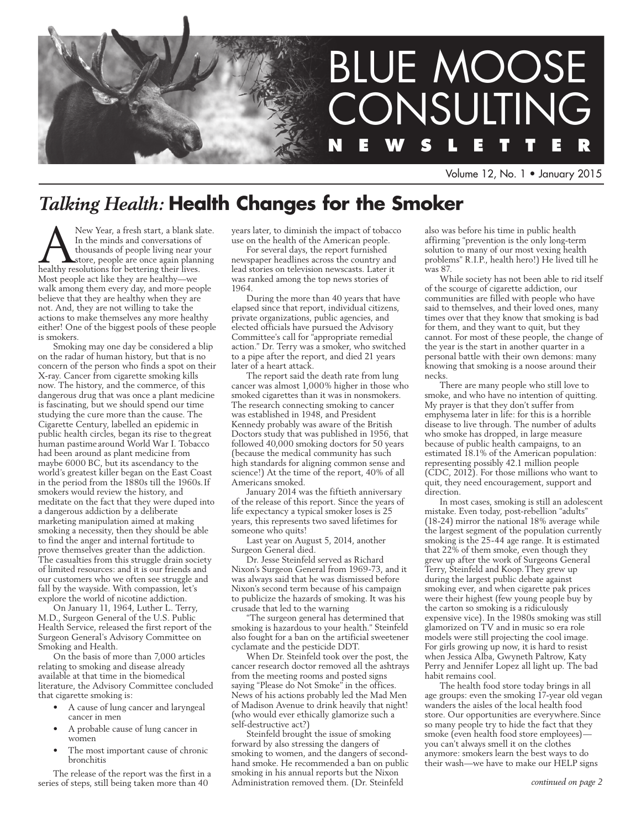

Volume 12, No. 1 • January 2015

# *Talking Health:* **Health Changes for the Smoker**

New Year, a fresh start, a blank slate.<br>
In the minds and conversations of<br>
thousands of people living near your<br>
healthy resolutions for bettering their lives. In the minds and conversations of thousands of people living near your store, people are once again planning healthy resolutions for bettering their lives. Most people act like they are healthy—we walk among them every day, and more people believe that they are healthy when they are not. And, they are not willing to take the actions to make themselves any more healthy either! One of the biggest pools of these people is smokers.

Smoking may one day be considered a blip on the radar of human history, but that is no concern of the person who finds a spot on their X-ray. Cancer from cigarette smoking kills now. The history, and the commerce, of this dangerous drug that was once a plant medicine is fascinating, but we should spend our time studying the cure more than the cause. The Cigarette Century, labelled an epidemic in public health circles, began its rise to thegreat human pastime around World War I. Tobacco had been around as plant medicine from maybe 6000 BC, but its ascendancy to the world's greatest killer began on the East Coast in the period from the 1880s till the 1960s.If smokers would review the history, and meditate on the fact that they were duped into a dangerous addiction by a deliberate marketing manipulation aimed at making smoking a necessity, then they should be able to find the anger and internal fortitude to prove themselves greater than the addiction. The casualties from this struggle drain society of limited resources: and it is our friends and our customers who we often see struggle and fall by the wayside. With compassion, let's explore the world of nicotine addiction.

On January 11, 1964, Luther L. Terry, M.D., Surgeon General of the U.S. Public Health Service, released the first report of the Surgeon General's Advisory Committee on Smoking and Health.

On the basis of more than 7,000 articles relating to smoking and disease already available at that time in the biomedical literature, the Advisory Committee concluded that cigarette smoking is:

- A cause of lung cancer and laryngeal cancer in men
- A probable cause of lung cancer in women
- The most important cause of chronic bronchitis

The release of the report was the first in a series of steps, still being taken more than 40

years later, to diminish the impact of tobacco use on the health of the American people.

For several days, the report furnished newspaper headlines across the country and lead stories on television newscasts. Later it was ranked among the top news stories of 1964.

During the more than 40 years that have elapsed since that report, individual citizens, private organizations, public agencies, and elected officials have pursued the Advisory Committee's call for "appropriate remedial action." Dr. Terry was a smoker, who switched to a pipe after the report, and died 21 years later of a heart attack.

The report said the death rate from lung cancer was almost 1,000% higher in those who smoked cigarettes than it was in nonsmokers. The research connecting smoking to cancer was established in 1948, and President Kennedy probably was aware of the British Doctors study that was published in 1956, that followed 40,000 smoking doctors for 50 years (because the medical community has such high standards for aligning common sense and science!) At the time of the report, 40% of all Americans smoked.

January 2014 was the fiftieth anniversary of the release of this report. Since the years of life expectancy a typical smoker loses is 25 years, this represents two saved lifetimes for someone who quits!

Last year on August 5, 2014, another Surgeon General died.

Dr. Jesse Steinfeld served as Richard Nixon's Surgeon General from 1969-73, and it was always said that he was dismissed before Nixon's second term because of his campaign to publicize the hazards of smoking. It was his crusade that led to the warning

"The surgeon general has determined that smoking is hazardous to your health." Steinfeld also fought for a ban on the artificial sweetener cyclamate and the pesticide DDT.

When Dr. Steinfeld took over the post, the cancer research doctor removed all the ashtrays from the meeting rooms and posted signs saying "Please do Not Smoke" in the offices. News of his actions probably led the Mad Men of Madison Avenue to drink heavily that night! (who would ever ethically glamorize such a self-destructive act?)

Steinfeld brought the issue of smoking forward by also stressing the dangers of smoking to women, and the dangers of secondhand smoke. He recommended a ban on public smoking in his annual reports but the Nixon Administration removed them. (Dr. Steinfeld

also was before his time in public health affirming "prevention is the only long-term solution to many of our most vexing health problems" R.I.P., health hero!) He lived till he was 87.

While society has not been able to rid itself of the scourge of cigarette addiction, our communities are filled with people who have said to themselves, and their loved ones, many times over that they know that smoking is bad for them, and they want to quit, but they cannot. For most of these people, the change of the year is the start in another quarter in a personal battle with their own demons: many knowing that smoking is a noose around their necks.

There are many people who still love to smoke, and who have no intention of quitting. My prayer is that they don't suffer from emphysema later in life: for this is a horrible disease to live through. The number of adults who smoke has dropped, in large measure because of public health campaigns, to an estimated 18.1% of the American population: representing possibly 42.1 million people (CDC, 2012). For those millions who want to quit, they need encouragement, support and direction.

In most cases, smoking is still an adolescent mistake. Even today, post-rebellion "adults" (18-24) mirror the national 18% average while the largest segment of the population currently smoking is the 25-44 age range. It is estimated that 22% of them smoke, even though they grew up after the work of Surgeons General Terry, Steinfeld and Koop.They grew up during the largest public debate against smoking ever, and when cigarette pak prices were their highest (few young people buy by the carton so smoking is a ridiculously expensive vice). In the 1980s smoking was still glamorized on TV and in music so era role models were still projecting the cool image. For girls growing up now, it is hard to resist when Jessica Alba, Gwyneth Paltrow, Katy Perry and Jennifer Lopez all light up. The bad habit remains cool.

The health food store today brings in all age groups: even the smoking 17-year old vegan wanders the aisles of the local health food store. Our opportunities are everywhere.Since so many people try to hide the fact that they smoke (even health food store employees) you can't always smell it on the clothes anymore: smokers learn the best ways to do their wash—we have to make our HELP signs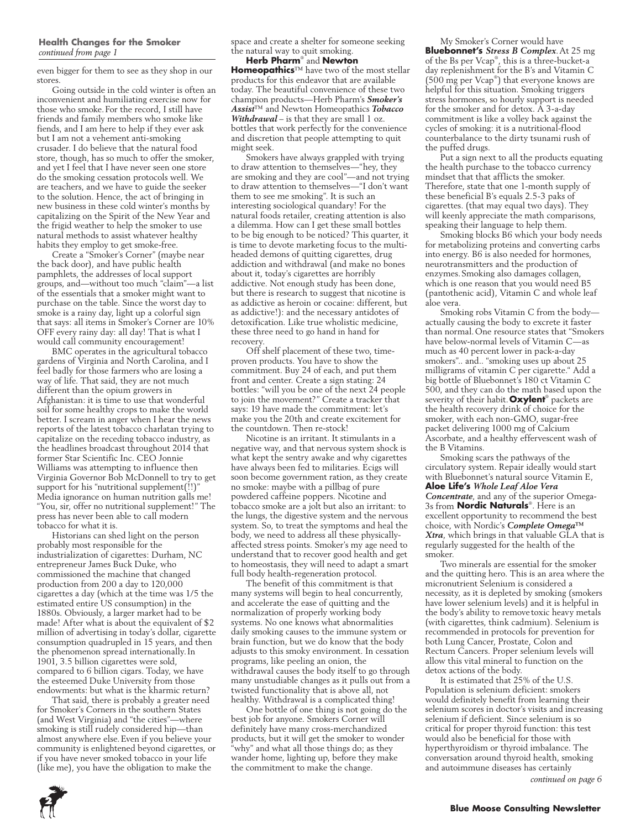### **Health Changes for the Smoker** *continued from page 1*

even bigger for them to see as they shop in our stores

Going outside in the cold winter is often an inconvenient and humiliating exercise now for those who smoke.For the record, I still have friends and family members who smoke like fiends, and I am here to help if they ever ask but I am not a vehement anti-smoking crusader. I do believe that the natural food store, though, has so much to offer the smoker, and yet I feel that I have never seen one store do the smoking cessation protocols well. We are teachers, and we have to guide the seeker to the solution. Hence, the act of bringing in new business in these cold winter's months by capitalizing on the Spirit of the New Year and the frigid weather to help the smoker to use natural methods to assist whatever healthy habits they employ to get smoke-free.

Create a "Smoker's Corner" (maybe near the back door), and have public health pamphlets, the addresses of local support groups, and—without too much "claim"—a list of the essentials that a smoker might want to purchase on the table. Since the worst day to smoke is a rainy day, light up a colorful sign that says: all items in Smoker's Corner are 10% OFF every rainy day: all day! That is what I would call community encouragement!

BMC operates in the agricultural tobacco gardens of Virginia and North Carolina, and I feel badly for those farmers who are losing a way of life. That said, they are not much different than the opium growers in Afghanistan: it is time to use that wonderful soil for some healthy crops to make the world better. I scream in anger when I hear the news reports of the latest tobacco charlatan trying to capitalize on the receding tobacco industry, as the headlines broadcast throughout 2014 that former Star Scientific Inc. CEO Jonnie Williams was attempting to influence then Virginia Governor Bob McDonnell to try to get support for his "nutritional supplement(!!)" Media ignorance on human nutrition galls me! "You, sir, offer no nutritional supplement!" The press has never been able to call modern tobacco for what it is.

Historians can shed light on the person probably most responsible for the industrialization of cigarettes: Durham, NC entrepreneur James Buck Duke, who commissioned the machine that changed production from 200 a day to 120,000 cigarettes a day (which at the time was 1/5 the estimated entire US consumption) in the 1880s. Obviously, a larger market had to be made! After what is about the equivalent of \$2 million of advertising in today's dollar, cigarette consumption quadrupled in 15 years, and then the phenomenon spread internationally.In 1901, 3.5 billion cigarettes were sold, compared to 6 billion cigars. Today, we have the esteemed Duke University from those endowments: but what is the kharmic return?

That said, there is probably a greater need for Smoker's Corners in the southern States (and West Virginia) and "the cities"—where smoking is still rudely considered hip—than almost anywhere else.Even if you believe your community is enlightened beyond cigarettes, or if you have never smoked tobacco in your life (like me), you have the obligation to make the

space and create a shelter for someone seeking the natural way to quit smoking.

**Herb Pharm**® and **Newton Homeopathics**™ have two of the most stellar products for this endeavor that are available today. The beautiful convenience of these two champion products—Herb Pharm's *Smoker's Assist*™ and Newton Homeopathics *Tobacco Withdrawal* – is that they are small 1 oz. bottles that work perfectly for the convenience and discretion that people attempting to quit might seek.

Smokers have always grappled with trying to draw attention to themselves—"hey, they are smoking and they are cool"—and not trying to draw attention to themselves—"I don't want them to see me smoking". It is such an interesting sociological quandary! For the natural foods retailer, creating attention is also a dilemma. How can I get these small bottles to be big enough to be noticed? This quarter, it is time to devote marketing focus to the multiheaded demons of quitting cigarettes, drug addiction and withdrawal (and make no bones about it, today's cigarettes are horribly addictive. Not enough study has been done, but there is research to suggest that nicotine is as addictive as heroin or cocaine: different, but as addictive!): and the necessary antidotes of detoxification. Like true wholistic medicine, these three need to go hand in hand for **recovery** 

Off shelf placement of these two, timeproven products. You have to show the commitment. Buy 24 of each, and put them front and center. Create a sign stating: 24 bottles: "will you be one of the next 24 people to join the movement?" Create a tracker that says: 19 have made the commitment: let's make you the 20th and create excitement for the countdown. Then re-stock!

Nicotine is an irritant. It stimulants in a negative way, and that nervous system shock is what kept the sentry awake and why cigarettes have always been fed to militaries. Ecigs will soon become government ration, as they create no smoke: maybe with a pillbag of pure powdered caffeine poppers. Nicotine and tobacco smoke are a jolt but also an irritant: to the lungs, the digestive system and the nervous system. So, to treat the symptoms and heal the body, we need to address all these physicallyaffected stress points. Smoker's my age need to understand that to recover good health and get to homeostasis, they will need to adapt a smart full body health-regeneration protocol.

The benefit of this commitment is that many systems will begin to heal concurrently, and accelerate the ease of quitting and the normalization of properly working body systems. No one knows what abnormalities daily smoking causes to the immune system or brain function, but we do know that the body adjusts to this smoky environment. In cessation programs, like peeling an onion, the withdrawal causes the body itself to go through many unstudiable changes as it pulls out from a twisted functionality that is above all, not healthy. Withdrawal is a complicated thing!

One bottle of one thing is not going do the best job for anyone. Smokers Corner will definitely have many cross-merchandized products, but it will get the smoker to wonder 'why" and what all those things do; as they wander home, lighting up, before they make the commitment to make the change.

My Smoker's Corner would have **Bluebonnet's** *Stress B Complex*.At 25 mg of the Bs per Vcap® , this is a three-bucket-a day replenishment for the B's and Vitamin C (500 mg per Vcap® ) that everyone knows are helpful for this situation. Smoking triggers stress hormones, so hourly support is needed for the smoker and for detox. A 3-a-day commitment is like a volley back against the cycles of smoking: it is a nutritional-flood counterbalance to the dirty tsunami rush of the puffed drugs.

Put a sign next to all the products equating the health purchase to the tobacco currency mindset that that afflicts the smoker. Therefore, state that one 1-month supply of these beneficial B's equals 2.5-3 paks of cigarettes. (that may equal two days). They will keenly appreciate the math comparisons, speaking their language to help them.

Smoking blocks B6 which your body needs for metabolizing proteins and converting carbs into energy. B6 is also needed for hormones, neurotransmitters and the production of enzymes.Smoking also damages collagen, which is one reason that you would need B5 (pantothenic acid), Vitamin C and whole leaf aloe vera.

Smoking robs Vitamin C from the body actually causing the body to excrete it faster than normal.One resource states that "Smokers have below-normal levels of Vitamin C—as much as 40 percent lower in pack-a-day smokers".. and.. "smoking uses up about 25 milligrams of vitamin C per cigarette." Add a big bottle of Bluebonnet's 180 ct Vitamin C 500, and they can do the math based upon the severity of their habit.**Oxylent**® packets are the health recovery drink of choice for the smoker, with each non-GMO, sugar-free packet delivering 1000 mg of Calcium Ascorbate, and a healthy effervescent wash of the B Vitamins.

Smoking scars the pathways of the circulatory system. Repair ideally would start with Bluebonnet's natural source Vitamin E, **Aloe Life's** *Whole Leaf Aloe Vera Concentrate*, and any of the superior Omega-3s from **Nordic Naturals**® . Here is an excellent opportunity to recommend the best choice, with Nordic's *Complete Omega™ Xtra*, which brings in that valuable GLA that is regularly suggested for the health of the smoker.

Two minerals are essential for the smoker and the quitting hero. This is an area where the micronutrient Selenium is considered a necessity, as it is depleted by smoking (smokers have lower selenium levels) and it is helpful in the body's ability to removetoxic heavy metals (with cigarettes, think cadmium). Selenium is recommended in protocols for prevention for both Lung Cancer, Prostate, Colon and Rectum Cancers. Proper selenium levels will allow this vital mineral to function on the detox actions of the body.

It is estimated that 25% of the U.S. Population is selenium deficient: smokers would definitely benefit from learning their selenium scores in doctor's visits and increasing selenium if deficient. Since selenium is so critical for proper thyroid function: this test would also be beneficial for those with hyperthyroidism or thyroid imbalance. The conversation around thyroid health, smoking and autoimmune diseases has certainly

*continued on page 6*

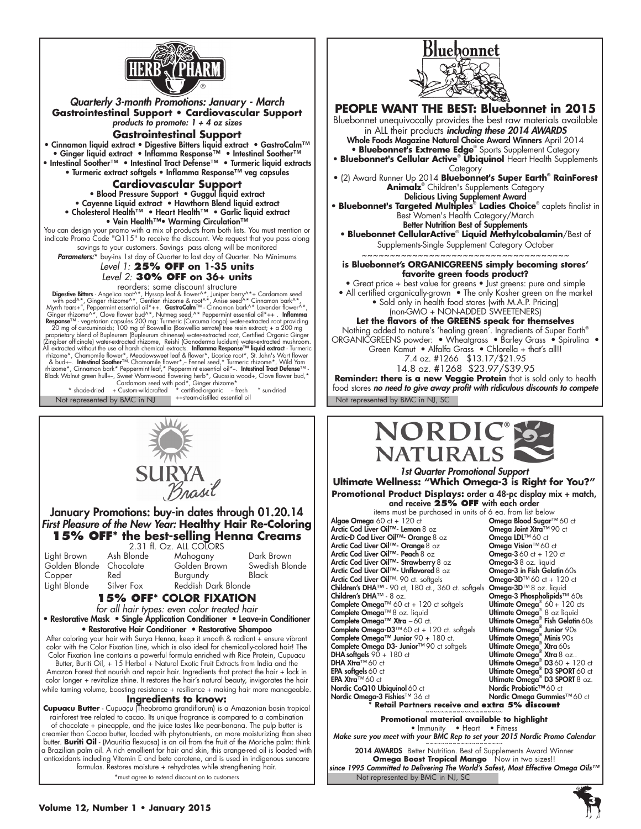

**Gastrointestinal Support • Cardiovascular Support**  *products to promote: 1 + 4 oz sizes* **Gastrointestinal Support** • Cinnamon liquid extract • Digestive Bitters liquid extract • GastroCalm™ • Ginger liquid extract • Inflamma Response™ • Intestinal Soother™ • Intestinal Soother™ • Intestinal Tract Defense™ • Turmeric liquid extracts • Turmeric extract softgels • Inflamma Response™ veg capsules **Cardiovascular Support**

• Blood Pressure Support • Guggul liquid extract • Cayenne Liquid extract • Hawthorn Blend liquid extract • Cholesterol Health™ • Heart Health™ • Garlic liquid extract • Vein Health™• Warming Circulation™

You can design your promo with a mix of products from both lists. You must mention or indicate Promo Code "Q115" to receive the discount. We request that you pass along savings to your customers. Savings pass along will be monitored

Parameters:\* buy-ins 1st day of Quarter to last day of Quarter. No Minimums *Level 1:* **25% OFF on 1-35 units**

*Level 2:* **30% OFF on 36+ units**

reorders: same discount structure **Digestive Bitters** - Angelica root<sup>A,\*</sup>, Hyssop leaf & flower^\*, Juniper berry^\*+ Cardamom seed<br>with pod^\*, Ginger thizome^\*, Gentian thizome & root<sup>A,\*</sup>, Anise seed<sup>,\*</sup>\* Cinnamon bark^\*,<br>Myrth tears+", Peppermint essent proprietary blend of Bupleurem (Bupleurum chinense) water-extracted root, Certified Organic Ginger<br>[Zingiber officinale) water-extracted rhizome, Reishi (Ganoderma lucidum) water-extracted mushroom.<br>All extracted without rhizome\*, Chamomile flower\*, Meadowsweet leaf & flower\*, Licorice root\*, St. John's Wort flower<br>
& bud+-. Intestinal Soother<sup>τ, M</sup>C Chamomile flower\*,- Fennel seed,\* Turmeric rhizome\*, Wild Yam<br>
chizome\*, Cinnamon bark\* Pe

Not represented by BMC in NJ ++steam-distilled essential oil Not represented by BMC in NJ, SC ++steam-distilled essential oil



### January Promotions: buy-in dates through 01.20.14 *First Pleasure of the New Year:* **Healthy Hair Re-Coloring 15% OFF\* the best-selling Henna Creams**

| Light Brown<br>Golden Blonde | Ash Bl<br>Chocc |
|------------------------------|-----------------|
| Copper                       | Red             |
| Light Blonde                 | Silver          |

2.31 fl. Oz. ALL COLORS<br>Ionde Mahogany Mahogany Dark Brown<br>Golden Brown Swedish Blonde late Golden-Brown Swedish<br>Burgundy Black **Burgundy** Fox Reddish Dark Blonde

### **15% OFF\* COLOR FIXATION**

*for all hair types: even color treated hair* • Restorative Mask • Single Application Conditioner • Leave-in Conditioner

• Restorative Hair Conditioner • Restorative Shampoo After coloring your hair with Surya Henna, keep it smooth & radiant + ensure vibrant color with the Color Fixation Line, which is also ideal for chemically-colored hair! The

Color Fixation line contains a powerful formula enriched with Rice Protein, Cupuacu Butter, Buriti Oil, + 15 Herbal + Natural Exotic Fruit Extracts from India and the Amazon Forest that nourish and repair hair. Ingredients that protect the hair + lock in color longer + revitalize shine. It restores the hair's natural beauty, invigorates the hair while taming volume, boosting resistance + resilience + making hair more manageable.

### **Ingredients to know:**

**Cupuacu Butter** - Cupuaçu (Theobroma grandiflorum) is a Amazonian basin tropical rainforest tree related to cacao. Its unique fragrance is compared to a combination of chocolate + pineapple, and the juice tastes like pear-banana. The pulp butter is creamier than Cocoa butter, loaded with phytonutrients, an more moisturizing than shea butter. **Buriti Oil** - (Mauritia flexuosa) is an oil from the fruit of the Moriche palm: think a Brazilian palm oil. A rich emollient for hair and skin, this orange-red oil is loaded with antioxidants including Vitamin E and beta carotene, and is used in indigenous suncare formulas. Restores moisture + rehydrates while strengthening hair. \*must agree to extend discount on to customers





*1st Quarter Promotional Support* **Ultimate Wellness: "Which Omega-3 is Right for You?" Promotional Product Displays:** order a 48-pc display mix + match, and receive **25% OFF** with each order

items must be purchased in units of 6 ea. from list below<br>i 60 ct + 120 ct **Omega Blood Sugar™** 60 ct<br>**er Oil™-Lemon** 8 oz **Omega Joint Xtra**™ 90 ct **Algae Omega** 60 ct + 120 ct **Omega Blood Sugar™ 60 ct of Omega Blood Sugar™ 60 ct<br>Arctic Cod Liver Oil™- Lemon 8 oz <b>Omega Joint Xtra**™ 90 ct Arctic-D Cod Liver Oil™- Orange 8 oz Omega JOL™ 60 ct<br>Arctic-D Cod Liver Oil™- Orange 8 oz Omega Vision™ 60 ct Arctic Cod Liver Oil™- Orange 8 oz **Omega Vision**™ 60 ct<br>**Arctic Cod Liver Oil™- Peach** 8 oz **Omega-3** 60 ct + 120 ct Arctic Cod Liver Oil™- Peach 8 oz Consegue 1360 ct + 120<br>Arctic Cod Liver Oil™- Strawberry 8 oz Comega-3 8 oz. liquid Arctic Cod Liver Oil™- Strawberry 8 oz Omega-3 8 oz. liquid<br>Arctic Cod Liver Oil™- Unflavored 8 oz Omega-3 in Fish Gelatin 60s<br>Arctic Cod Liver Oil™- 90 ct. softgels Omega-3D™ 60 ct + 120 ct Arctic Cod Liver Oil™- Unflavored  $8$  oz Arctic Cod Liver Oil™- 90 ct. softgels Omega-3D™ 60 ct + 120<br>Children's DHA™- 90 ct, 180 ct., 360 ct. softgels Omega-3D™ 8 oz. liquid Children's DHA™ - 90 ct, 180 ct., 360 ct. softgels Omega-3D™ 8 oz. liquid<br>Children's DHA™ - 8 oz.<br>Children's DHA™ - 8 oz. Children's DHA™ - 8 oz. Omega-3 Phospholipids™ 60s 60 + 120 cts Complete Omega<sup>™</sup> 60 ct + 120 ct softgels Complete Omega™ 8 oz. liquid Ultimate Omega® Complete Omega™ Xtra – 60 ct. Ultimate Omega® Complete Omega-D3™60 ct + 120 ct. softgels Complete Omega™ Junior 90 + 180 ct. Complete Omega D3- Junior™90 ct softgels **DHA softgels**  $90 + 180$  ct **DHA Xtra**<sup>TM</sup> 60 ct DHA Xtra™ 60 ct Ultimate Omega® D360 + 120 ct EPA softgels60 ct Ultimate Omega® D3 SPORT60 ct EPA Xtra™ 60 ct Ultimate Omega® D3 SPORT8 oz. Nordic CoQ10 Ubiquinol 60 ct<br>
Nordic Omega-3 Fishies™ 36 ct Nordic Omega Gummie:<br>
Nordic Omega Gummie:

8 oz liquid<br>**Fish Gelatin** 60s Junior 90s Minis 90s **Xtra** 60s Xtra 8 oz.. Nordic Omega-3 Fishies™ 36 ct Nordic Omega Gummies™ 60 ct **\* Retail Partners receive and extra 5% discount** ~~~~~~~~~~~~~~~~~~~~

**Promotional material available to highlight**

• Immunity • Heart • Fitness *Make sure you meet with your BMC Rep to set your 2015 Nordic Promo Calendar* ~~~~~~~~~~~~~~~~~~~~

Not represented by BMC in NJ, SC 2014 AWARDS Better Nutrition. Best of Supplements Award Winner **Omega Boost Tropical Mango** Now in two sizes!! *since 1995 Committed to Delivering The World's Safest, Most Effective Omega Oils™*

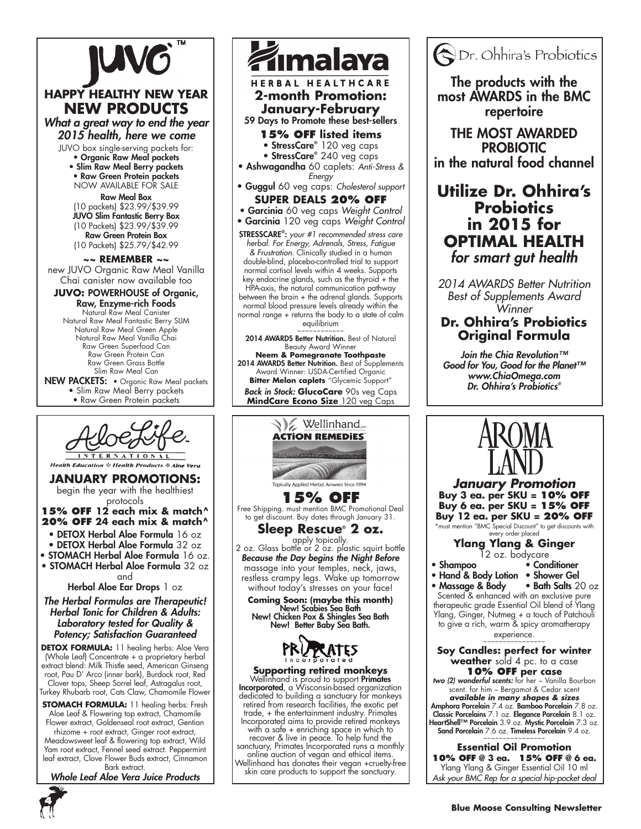

### **HAPPY HEALTHY NEW YEAR NEW PRODUCTS**

*What a great way to end the year 2015 health, here we come*

JUVO box single-serving packets for:

• Organic Raw Meal packets • Slim Raw Meal Berry packets

• Raw Green Protein packets now available for sale

Raw Meal Box (10 packets) \$23.99/\$39.99 JUVO Slim Fantastic Berry Box (10 Packets) \$23.99/\$39.99 Raw Green Protein Box (10 Packets) \$25.79/\$42.99

**~~ REMEMBER ~~**

new JUVO Organic Raw Meal Vanilla Chai canister now available too

**JUVO:** POWERHOUSE of Organic, Raw, Enzyme-rich Foods Natural Raw Meal Canister Natural Raw Meal Fantastic Berry SLIM Natural Raw Meal Green Apple Natural Raw Meal Vanilla Chai Raw Green Superfood Can Raw Green Protein Can Raw Green Grass Bottle Slim Raw Meal Can

NEW PACKETS: • Organic Raw Meal packets • Slim Raw Meal Berry packets • Raw Green Protein packets



**Health Education & Health Products & Aloe Vera** 

**January promotions:** begin the year with the healthiest protocols

**15% OFF 12 each mix & match^ 20% OFF 24 each mix & match^**

- DETOX Herbal Aloe Formula 16 oz
- DETOX Herbal Aloe Formula 32 oz
- STOMACH Herbal Aloe Formula 16 oz.
- STOMACH Herbal Aloe Formula 32 oz

and

Herbal Aloe Ear Drops 1 oz

### *The Herbal Formulas are Therapeutic! Herbal Tonic for Children & Adults: Laboratory tested for Quality & Potency; Satisfaction Guaranteed*

**DETOX FORMULA:** 11 healing herbs: Aloe Vera (Whole Leaf) Concentrate + a proprietary herbal extract blend: Milk Thistle seed, American Ginseng root, Pau D' Arco (inner bark), Burdock root, Red Clover tops, Sheep Sorrel leaf, Astragalus root,

Turkey Rhubarb root, Cats Claw, Chamomile Flower

**STOMACH FORMULA:** 11 healing herbs: Fresh Aloe Leaf & Flowering top extract, Chamomile Flower extract, Goldenseal root extract, Gentian rhizome + root extract, Ginger root extract, Meadowsweet leaf & flowering top extract, Wild Yam root extract, Fennel seed extract. Peppermint leaf extract, Clove Flower Buds extract, Cinnamon Bark extract.

*Whole Leaf Aloe Vera Juice Products*



### **January-February** 59 Days to Promote these best-sellers

- **15% OFF listed items**
- StressCare® 120 veg caps
- StressCare® 240 veg caps
- Ashwagandha 60 caplets: *Anti-Stress & Energy*
- Guggul 60 veg caps: *Cholesterol support* **SUPER DEALS 20% OFF**
- Garcinia 60 veg caps *Weight Control*

• Garcinia 120 veg caps *Weight Control* StressCare® : *your #1 recommended stress care herbal. For Energy, Adrenals, Stress, Fatigue & Frustration.* Clinically studied in a human

double-blind, placebo-controlled trial to support normal cortisol levels within 4 weeks. Supports key endocrine glands, such as the thyroid  $+$  the HPA-axis, the natural communication pathway between the brain + the adrenal glands. Supports normal blood pressure levels already within the normal range + returns the body to a state of calm equilibrium

~~~~~~~~~~ 2014 AWARDS Better Nutrition. Best of Natural

Beauty Award Winner **Neem & Pomegranate Toothpaste** 2014 AWARDS Better Nutrition. Best of Supplements Award Winner: USDA-Certified Organic **Bitter Melon caplets** "Glycemic Support" *Back in Stock:* **GlucoCare** 90s veg Caps





2 oz. Glass bottle or 2 oz. plastic squirt bottle *Because the Day begins the Night Before* massage into your temples, neck, jaws, restless crampy legs. Wake up tomorrow

Incorporated, a Wisconsin-based organization dedicated to building a sanctuary for monkeys retired from research facilities, the exotic pet trade, + the entertainment industry. Primates Incorporated aims to provide retired monkeys recover & live in peace. To help fund the sanctuary, Primates Incorporated runs a monthly online auction of vegan and ethical items. Wellinhand has donates their vegan +cruelty-free

skin care products to support the sanctuary.



The products with the most AWARDS in the BMC repertoire

THE MOST AWARDED PROBIOTIC in the natural food channel

### **Utilize Dr. Ohhira's Probiotics in 2015 for OPTIMAL HEALTH** *for smart gut health*

*2014 AWARDS Better Nutrition Best of Supplements Award Winner*

### **Dr. Ohhira's Probiotics Original Formula**

*Join the Chia Revolution™ Good for You, Good for the Planet™ www.ChiaOmega.com Dr. Ohhira's Probiotics®*

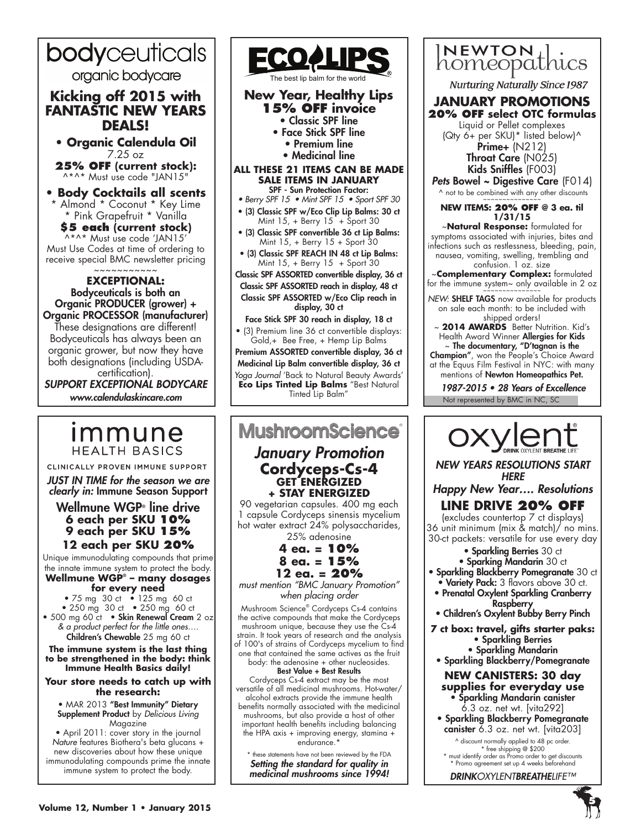# bodyceuticals

organic bodycare

### **Kicking off 2015 with FANTASTIC NEW YEARS DEALS!**

**• Organic Calendula Oil**  7.25 oz

**25% OFF (current stock):** ^\*^\* Must use code "JAN15"

**• Body Cocktails all scents**  \* Almond \* Coconut \* Key Lime \* Pink Grapefruit \* Vanilla **\$5 each (current stock)** ^\*^\* Must use code 'JAN15' Must Use Codes at time of ordering to

receive special BMC newsletter pricing ~~~~~~~~~~~

**EXCEPTIONAL:**  Bodyceuticals is both an Organic PRODUCER (grower) + Organic PROCESSOR (manufacturer) These designations are different! Bodyceuticals has always been an organic grower, but now they have both designations (including USDAcertification).

*SUPPORT EXCEPTIONAL BODYCARE www.calendulaskincare.com*

### immune **HEALTH BASICS**

CLINICALLY PROVEN IMMUNE SUPPORT

*JUST IN TIME for the season we are clearly in:* Immune Season Support

### Wellmune WGP® line drive **6 each per SKU 10% 9 each per SKU 15% 12 each per SKU 20%**

Unique immunodulating compounds that prime the innate immune system to protect the body. **Wellmune WGP® – many dosages** 

**for every need** • 75 mg 30 ct • 125 mg 60 ct • 250 mg 30 ct • 250 mg 60 ct • 500 mg 60 ct • **Skin Renewal Cream** 2 oz *& a product perfect for the little ones….*  Children's Chewable 25 mg 60 ct

**The immune system is the last thing to be strengthened in the body: think Immune Health Basics daily!** 

**Your store needs to catch up with the research:**

• MAR 2013 "Best Immunity" Dietary Supplement Product by *Delicious Living* Magazine

• April 2011: cover story in the journal *Nature* features Biothera's beta glucans + new discoveries about how these unique immunodulating compounds prime the innate immune system to protect the body.



The best lip balm for the world

**New Year, Healthy Lips 15% OFF invoice** • Classic SPF line • Face Stick SPF line • Premium line • Medicinal line **ALL THESE 21 ITEMS CAN BE MADE SALE ITEMS IN JANUARY** SPF - Sun Protection Factor: • Berry SPF 15 • Mint SPF 15 • Sport SPF 30 • (3) Classic SPF w/Eco Clip Lip Balms: 30 ct Mint  $15$ , + Berry  $15 +$  Sport 30 • (3) Classic SPF convertible 36 ct Lip Balms: Mint 15, + Berry 15 + Sport 30 • (3) Classic SPF REACH IN 48 ct Lip Balms: Mint  $15$ , + Berry  $15$  + Sport 30 Classic SPF ASSORTED convertible display, 36 ct Classic SPF ASSORTED reach in display, 48 ct Classic SPF ASSORTED w/Eco Clip reach in

display, 30 ct Face Stick SPF 30 reach in display, 18 ct

• (3) Premium line 36 ct convertible displays: Gold,+ Bee Free, + Hemp Lip Balms

Premium ASSORTED convertible display, 36 ct Medicinal Lip Balm convertible display, 36 ct *Yoga Journal* 'Back to Natural Beauty Awards' **Eco Lips Tinted Lip Balms** "Best Natural Tinted Lip Balm"

# **MushroomScience**

### *January Promotion* **Cordyceps-Cs-4 GET ENERGIZED + STAY ENERGIZED**

90 vegetarian capsules. 400 mg each 1 capsule Cordyceps sinensis mycelium hot water extract 24% polysaccharides, 25% adenosine

**4 ea. = 10% 8 ea. = 15%**

### **12 ea. = 20%**

*must mention "BMC January Promotion" when placing order*

Mushroom Science® Cordyceps Cs-4 contains the active compounds that make the Cordyceps mushroom unique, because they use the Cs-4 strain. It took years of research and the analysis of 100's of strains of Cordyceps mycelium to find one that contained the same actives as the fruit body: the adenosine + other nucleosides.

Best Value + Best Results

Cordyceps Cs-4 extract may be the most versatile of all medicinal mushrooms. Hot-water/ alcohol extracts provide the immune health benefits normally associated with the medicinal mushrooms, but also provide a host of other important health benefits including balancing the HPA axis + improving energy, stamina + endurance.\*

\* these statements have not been reviewed by the FDA *Setting the standard for quality in medicinal mushrooms since 1994!*



canister 6.3 oz. net wt. [vita203] ^ discount normally applied to 48 pc order. \* free shipping @ \$200

\* must identify order as Promo order to get discounts \* Promo agreement set up 4 weeks beforehand

*DRINKOXYLENTBREATHELIFE™*

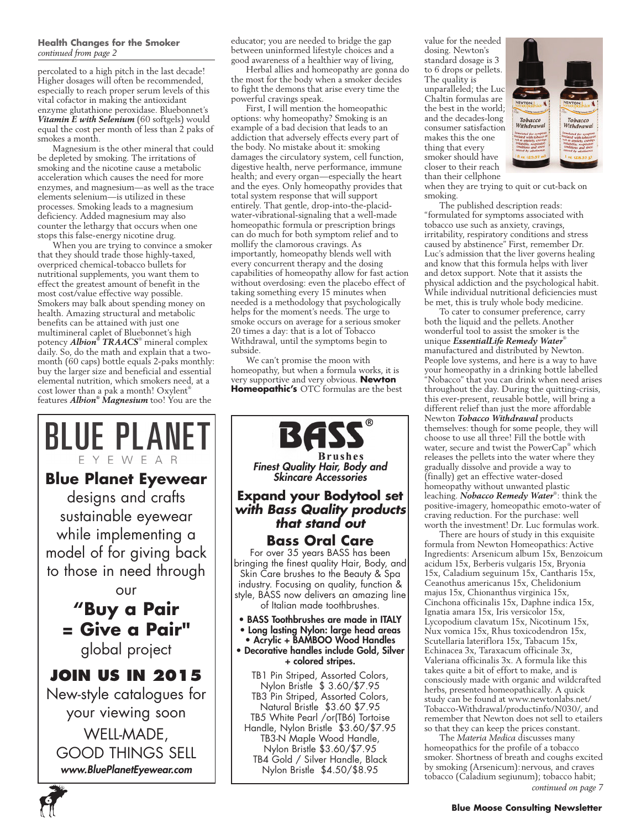### **Health Changes for the Smoker** *continued from page 2*

percolated to a high pitch in the last decade! Higher dosages will often be recommended, especially to reach proper serum levels of this vital cofactor in making the antioxidant enzyme glutathione peroxidase. Bluebonnet's *Vitamin E with Selenium* (60 softgels) would equal the cost per month of less than 2 paks of smokes a month.

Magnesium is the other mineral that could be depleted by smoking. The irritations of smoking and the nicotine cause a metabolic acceleration which causes the need for more enzymes, and magnesium—as well as the trace elements selenium—is utilized in these processes. Smoking leads to a magnesium deficiency. Added magnesium may also counter the lethargy that occurs when one stops this false-energy nicotine drug.

When you are trying to convince a smoker that they should trade those highly-taxed, overpriced chemical-tobacco bullets for nutritional supplements, you want them to effect the greatest amount of benefit in the most cost/value effective way possible. Smokers may balk about spending money on health. Amazing structural and metabolic benefits can be attained with just one multimineral caplet of Bluebonnet's high potency *Albion® TRAACS*® mineral complex daily. So, do the math and explain that a twomonth (60 caps) bottle equals 2-paks monthly: buy the larger size and beneficial and essential elemental nutrition, which smokers need, at a cost lower than a pak a month! Oxylent® features *Albion® Magnesium* too! You are the

## BLUE PLANET EYEWEAR **Blue Planet Eyewear**  designs and crafts sustainable eyewear while implementing a model of for giving back to those in need through our **"Buy a Pair = Give a Pair"**  global project **JOIN US IN 2015** New-style catalogues for your viewing soon

WELL-MADE, GOOD THINGS SELL *www.BluePlanetEyewear.com*

**6**

educator; you are needed to bridge the gap between uninformed lifestyle choices and a good awareness of a healthier way of living,

Herbal allies and homeopathy are gonna do the most for the body when a smoker decides to fight the demons that arise every time the powerful cravings speak.

First, I will mention the homeopathic options: why homeopathy? Smoking is an example of a bad decision that leads to an addiction that adversely effects every part of the body. No mistake about it: smoking damages the circulatory system, cell function, digestive health, nerve performance, immune health; and every organ—especially the heart and the eyes. Only homeopathy provides that total system response that will support entirely. That gentle, drop-into-the-placidwater-vibrational-signaling that a well-made homeopathic formula or prescription brings can do much for both symptom relief and to mollify the clamorous cravings. As importantly, homeopathy blends well with every concurrent therapy and the dosing capabilities of homeopathy allow for fast action without overdosing: even the placebo effect of taking something every 15 minutes when needed is a methodology that psychologically helps for the moment's needs. The urge to smoke occurs on average for a serious smoker 20 times a day: that is a lot of Tobacco Withdrawal, until the symptoms begin to subside.

We can't promise the moon with homeopathy, but when a formula works, it is very supportive and very obvious. **Newton Homeopathic's** OTC formulas are the best



value for the needed dosing. Newton's standard dosage is 3 to 6 drops or pellets. The quality is unparalleled; the Luc Chaltin formulas are the best in the world; and the decades-long consumer satisfaction makes this the one thing that every smoker should have closer to their reach than their cellphone



when they are trying to quit or cut-back on smoking.

The published description reads: "formulated for symptoms associated with tobacco use such as anxiety, cravings, irritability, respiratory conditions and stress caused by abstinence" First, remember Dr. Luc's admission that the liver governs healing and know that this formula helps with liver and detox support. Note that it assists the physical addiction and the psychological habit. While individual nutritional deficiencies must be met, this is truly whole body medicine.

To cater to consumer preference, carry both the liquid and the pellets.Another wonderful tool to assist the smoker is the unique *EssentialLife Remedy Water*® manufactured and distributed by Newton. People love systems, and here is a way to have your homeopathy in a drinking bottle labelled "Nobacco" that you can drink when need arises throughout the day. During the quitting-crisis, this ever-present, reusable bottle, will bring a different relief than just the more affordable Newton *Tobacco Withdrawal* products themselves: though for some people, they will choose to use all three! Fill the bottle with water, secure and twist the PowerCap® which releases the pellets into the water where they gradually dissolve and provide a way to (finally) get an effective water-dosed homeopathy without unwanted plastic leaching. *Nobacco Remedy Water*® : think the positive-imagery, homeopathic emoto-water of craving reduction. For the purchase: well worth the investment! Dr. Luc formulas work.

There are hours of study in this exquisite formula from Newton Homeopathics: Active Ingredients: Arsenicum album 15x, Benzoicum acidum 15x, Berberis vulgaris 15x, Bryonia 15x, Caladium seguinum 15x, Cantharis 15x, Ceanothus americanus 15x, Chelidonium majus 15x, Chionanthus virginica 15x, Cinchona officinalis 15x, Daphne indica 15x, Ignatia amara 15x, Iris versicolor 15x, Lycopodium clavatum 15x, Nicotinum 15x, Nux vomica 15x, Rhus toxicodendron 15x, Scutellaria lateriflora 15x, Tabacum 15x, Echinacea 3x, Taraxacum officinale 3x, Valeriana officinalis 3x. A formula like this takes quite a bit of effort to make, and is consciously made with organic and wildcrafted herbs, presented homeopathically. A quick study can be found at www.newtonlabs.net/ Tobacco-Withdrawal/productinfo/N030/, and remember that Newton does not sell to etailers so that they can keep the prices constant.

The *Materia Medica* discusses many homeopathics for the profile of a tobacco smoker. Shortness of breath and coughs excited by smoking (Arsenicum):nervous, and craves tobacco (Caladium segiunum); tobacco habit;

*continued on page 7*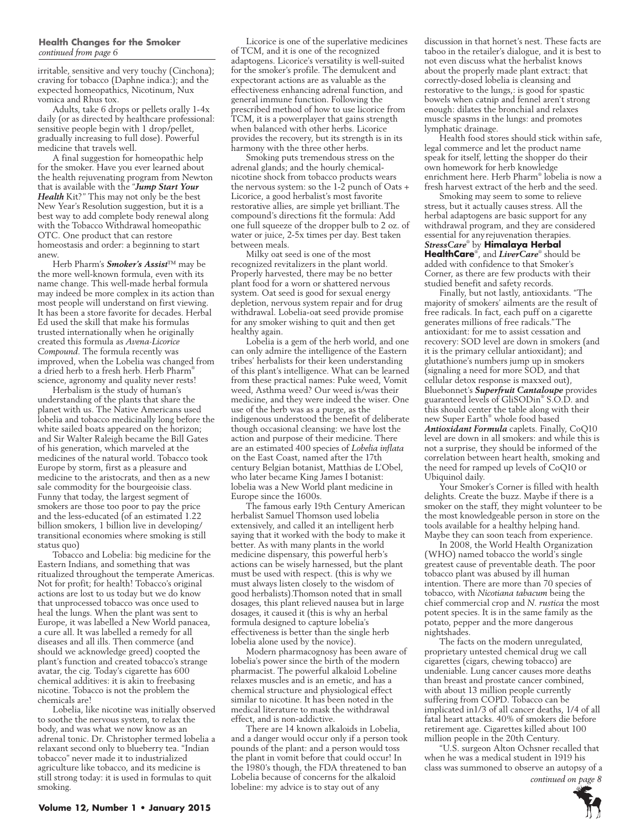### **Health Changes for the Smoker** *continued from page 6*

irritable, sensitive and very touchy (Cinchona); craving for tobacco (Daphne indica:); and the expected homeopathics, Nicotinum, Nux vomica and Rhus tox.

Adults, take 6 drops or pellets orally 1-4x daily (or as directed by healthcare professional: sensitive people begin with 1 drop/pellet, gradually increasing to full dose). Powerful medicine that travels well.

A final suggestion for homeopathic help for the smoker. Have you ever learned about the health rejuvenating program from Newton that is available with the "*Jump Start Your*  Health Kit?" This may not only be the best New Year's Resolution suggestion, but it is a best way to add complete body renewal along with the Tobacco Withdrawal homeopathic OTC. One product that can restore homeostasis and order: a beginning to start anew.

Herb Pharm's *Smoker's Assist*™ may be the more well-known formula, even with its name change. This well-made herbal formula may indeed be more complex in its action than most people will understand on first viewing. It has been a store favorite for decades. Herbal Ed used the skill that make his formulas trusted internationally when he originally created this formula as *Avena-Licorice Compound*. The formula recently was improved, when the Lobelia was changed from a dried herb to a fresh herb. Herb Pharm® science, agronomy and quality never rests!

Herbalism is the study of human's understanding of the plants that share the planet with us. The Native Americans used lobelia and tobacco medicinally long before the white sailed boats appeared on the horizon; and Sir Walter Raleigh became the Bill Gates of his generation, which marveled at the medicines of the natural world. Tobacco took Europe by storm, first as a pleasure and medicine to the aristocrats, and then as a new sale commodity for the bourgeoisie class. Funny that today, the largest segment of smokers are those too poor to pay the price and the less-educated (of an estimated 1.22 billion smokers, 1 billion live in developing/ transitional economies where smoking is still  $status$   $q110$ 

Tobacco and Lobelia: big medicine for the Eastern Indians, and something that was ritualized throughout the temperate Americas. Not for profit; for health! Tobacco's original actions are lost to us today but we do know that unprocessed tobacco was once used to heal the lungs. When the plant was sent to Europe, it was labelled a New World panacea, a cure all. It was labelled a remedy for all diseases and all ills. Then commerce (and should we acknowledge greed) coopted the plant's function and created tobacco's strange avatar, the cig. Today's cigarette has 600 chemical additives: it is akin to freebasing nicotine. Tobacco is not the problem the chemicals are!

Lobelia, like nicotine was initially observed to soothe the nervous system, to relax the body, and was what we now know as an adrenal tonic. Dr. Christopher termed lobelia a relaxant second only to blueberry tea. "Indian tobacco" never made it to industrialized agriculture like tobacco, and its medicine is still strong today: it is used in formulas to quit smoking.

Licorice is one of the superlative medicines of TCM, and it is one of the recognized adaptogens. Licorice's versatility is well-suited for the smoker's profile. The demulcent and expectorant actions are as valuable as the effectiveness enhancing adrenal function, and general immune function. Following the prescribed method of how to use licorice from TCM, it is a powerplayer that gains strength when balanced with other herbs. Licorice provides the recovery, but its strength is in its harmony with the three other herbs.

Smoking puts tremendous stress on the adrenal glands; and the hourly chemicalnicotine shock from tobacco products wears the nervous system: so the 1-2 punch of Oats + Licorice, a good herbalist's most favorite restorative allies, are simple yet brilliant.The compound's directions fit the formula: Add one full squeeze of the dropper bulb to 2 oz. of water or juice, 2-5x times per day. Best taken between meals.

Milky oat seed is one of the most recognized revitalizers in the plant world. Properly harvested, there may be no better plant food for a worn or shattered nervous system. Oat seed is good for sexual energy depletion, nervous system repair and for drug withdrawal. Lobelia-oat seed provide promise for any smoker wishing to quit and then get healthy again.

Lobelia is a gem of the herb world, and one can only admire the intelligence of the Eastern tribes' herbalists for their keen understanding of this plant's intelligence. What can be learned from these practical names: Puke weed, Vomit weed, Asthma weed? Our weed is/was their medicine, and they were indeed the wiser. One use of the herb was as a purge, as the indigenous understood the benefit of deliberate though occasional cleansing: we have lost the action and purpose of their medicine. There are an estimated 400 species of *Lobelia inflata* on the East Coast, named after the 17th century Belgian botanist, Matthias de L'Obel, who later became King James I botanist: lobelia was a New World plant medicine in Europe since the 1600s.

The famous early 19th Century American herbalist Samuel Thomson used lobelia extensively, and called it an intelligent herb saying that it worked with the body to make it better. As with many plants in the world medicine dispensary, this powerful herb's actions can be wisely harnessed, but the plant must be used with respect. (this is why we must always listen closely to the wisdom of good herbalists).Thomson noted that in small dosages, this plant relieved nausea but in large dosages, it caused it (this is why an herbal formula designed to capture lobelia's effectiveness is better than the single herb lobelia alone used by the novice).

Modern pharmacognosy has been aware of lobelia's power since the birth of the modern pharmacist. The powerful alkaloid Lobeline relaxes muscles and is an emetic, and has a chemical structure and physiological effect similar to nicotine. It has been noted in the medical literature to mask the withdrawal effect, and is non-addictive.

There are 14 known alkaloids in Lobelia, and a danger would occur only if a person took pounds of the plant: and a person would toss the plant in vomit before that could occur! In the 1980's though, the FDA threatened to ban Lobelia because of concerns for the alkaloid lobeline: my advice is to stay out of any

discussion in that hornet's nest. These facts are taboo in the retailer's dialogue, and it is best to not even discuss what the herbalist knows about the properly made plant extract: that correctly-dosed lobelia is cleansing and restorative to the lungs,: is good for spastic bowels when catnip and fennel aren't strong enough: dilates the bronchial and relaxes muscle spasms in the lungs: and promotes lymphatic drainage.

Health food stores should stick within safe, legal commerce and let the product name speak for itself, letting the shopper do their own homework for herb knowledge enrichment here. Herb Pharm® lobelia is now a fresh harvest extract of the herb and the seed.

Smoking may seem to some to relieve stress, but it actually causes stress. All the herbal adaptogens are basic support for any withdrawal program, and they are considered essential for anyrejuvenation therapies. *StressCare*® by **Himalaya Herbal HealthCare**® , and *LiverCare*® should be added with confidence to that Smoker's Corner, as there are few products with their

studied benefit and safety records. Finally, but not lastly, antioxidants. "The majority of smokers' ailments are the result of free radicals. In fact, each puff on a cigarette generates millions of free radicals."The antioxidant: for me to assist cessation and recovery: SOD level are down in smokers (and it is the primary cellular antioxidant); and glutathione's numbers jump up in smokers (signaling a need for more SOD, and that cellular detox response is maxxed out), Bluebonnet's *Superfruit Cantaloupe* provides guaranteed levels of GliSODin® S.O.D. and this should center the table along with their new Super Earth® whole food based *Antioxidant Formula* caplets. Finally, CoQ10 level are down in all smokers: and while this is not a surprise, they should be informed of the correlation between heart health, smoking and the need for ramped up levels of CoQ10 or Ubiquinol daily.

Your Smoker's Corner is filled with health delights. Create the buzz. Maybe if there is a smoker on the staff, they might volunteer to be the most knowledgeable person in store on the tools available for a healthy helping hand. Maybe they can soon teach from experience.

In 2008, the World Health Organization (WHO) named tobacco the world's single greatest cause of preventable death. The poor tobacco plant was abused by ill human intention. There are more than 70 species of tobacco, with *Nicotiana tabacum* being the chief commercial crop and *N. rustica* the most potent species. It is in the same family as the potato, pepper and the more dangerous nightshades.

The facts on the modern unregulated, proprietary untested chemical drug we call cigarettes (cigars, chewing tobacco) are undeniable. Lung cancer causes more deaths than breast and prostate cancer combined, with about 13 million people currently suffering from COPD. Tobacco can be implicated in1/3 of all cancer deaths, 1/4 of all fatal heart attacks. 40% of smokers die before retirement age. Cigarettes killed about 100 million people in the 20th Century.

"U.S. surgeon Alton Ochsner recalled that when he was a medical student in 1919 his class was summoned to observe an autopsy of a *continued on page 8*